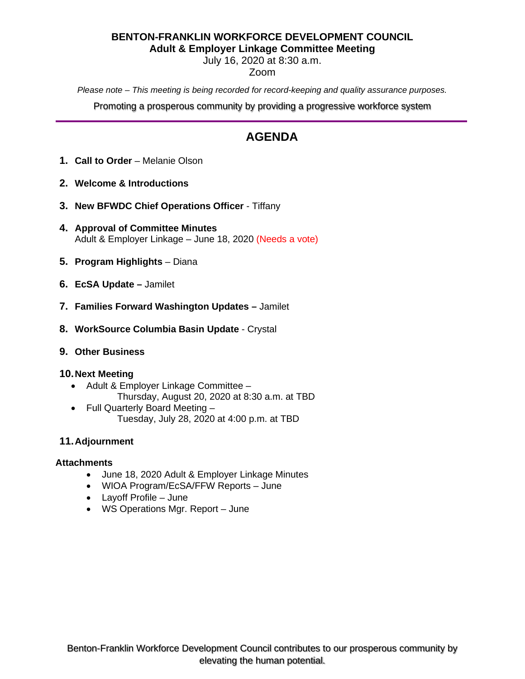### **BENTON-FRANKLIN WORKFORCE DEVELOPMENT COUNCIL Adult & Employer Linkage Committee Meeting**

July 16, 2020 at 8:30 a.m.

## Zoom

*Please note – This meeting is being recorded for record-keeping and quality assurance purposes.*

Promoting a prosperous community by providing a progressive workforce system

# **AGENDA**

- **1. Call to Order** Melanie Olson
- **2. Welcome & Introductions**
- **3. New BFWDC Chief Operations Officer**  Tiffany
- **4. Approval of Committee Minutes** Adult & Employer Linkage – June 18, 2020 (Needs a vote)
- **5. Program Highlights** Diana
- **6. EcSA Update –** Jamilet
- **7. Families Forward Washington Updates –** Jamilet
- **8. WorkSource Columbia Basin Update** Crystal
- **9. Other Business**

### **10.Next Meeting**

- Adult & Employer Linkage Committee
	- Thursday, August 20, 2020 at 8:30 a.m. at TBD
- Full Quarterly Board Meeting Tuesday, July 28, 2020 at 4:00 p.m. at TBD

## **11.Adjournment**

### **Attachments**

- June 18, 2020 Adult & Employer Linkage Minutes
- WIOA Program/EcSA/FFW Reports June
- Layoff Profile June
- WS Operations Mgr. Report June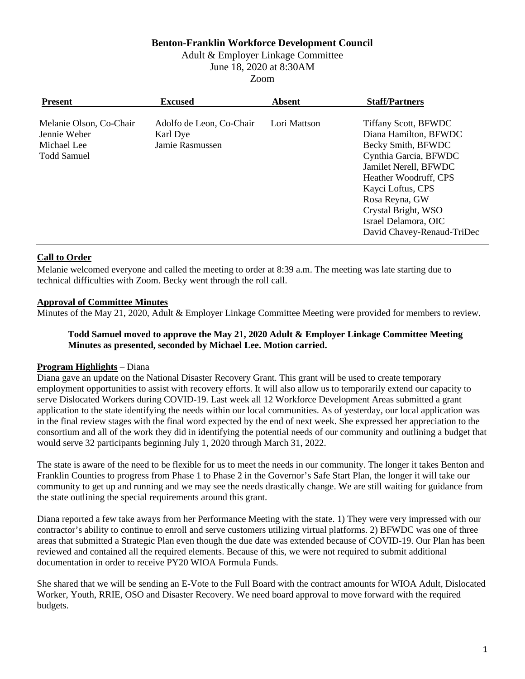## **Benton-Franklin Workforce Development Council**

Adult & Employer Linkage Committee

June 18, 2020 at 8:30AM

Zoom

| <b>Present</b>                                                               | <b>Excused</b>                                          | <b>Absent</b> | <b>Staff/Partners</b>                                                                                                                                                                                                                                                     |
|------------------------------------------------------------------------------|---------------------------------------------------------|---------------|---------------------------------------------------------------------------------------------------------------------------------------------------------------------------------------------------------------------------------------------------------------------------|
| Melanie Olson, Co-Chair<br>Jennie Weber<br>Michael Lee<br><b>Todd Samuel</b> | Adolfo de Leon, Co-Chair<br>Karl Dye<br>Jamie Rasmussen | Lori Mattson  | <b>Tiffany Scott, BFWDC</b><br>Diana Hamilton, BFWDC<br>Becky Smith, BFWDC<br>Cynthia Garcia, BFWDC<br>Jamilet Nerell, BFWDC<br>Heather Woodruff, CPS<br>Kayci Loftus, CPS<br>Rosa Reyna, GW<br>Crystal Bright, WSO<br>Israel Delamora, OIC<br>David Chavey-Renaud-TriDec |

### **Call to Order**

Melanie welcomed everyone and called the meeting to order at 8:39 a.m. The meeting was late starting due to technical difficulties with Zoom. Becky went through the roll call.

## **Approval of Committee Minutes**

Minutes of the May 21, 2020, Adult & Employer Linkage Committee Meeting were provided for members to review.

### **Todd Samuel moved to approve the May 21, 2020 Adult & Employer Linkage Committee Meeting Minutes as presented, seconded by Michael Lee. Motion carried.**

### **Program Highlights** – Diana

Diana gave an update on the National Disaster Recovery Grant. This grant will be used to create temporary employment opportunities to assist with recovery efforts. It will also allow us to temporarily extend our capacity to serve Dislocated Workers during COVID-19. Last week all 12 Workforce Development Areas submitted a grant application to the state identifying the needs within our local communities. As of yesterday, our local application was in the final review stages with the final word expected by the end of next week. She expressed her appreciation to the consortium and all of the work they did in identifying the potential needs of our community and outlining a budget that would serve 32 participants beginning July 1, 2020 through March 31, 2022.

The state is aware of the need to be flexible for us to meet the needs in our community. The longer it takes Benton and Franklin Counties to progress from Phase 1 to Phase 2 in the Governor's Safe Start Plan, the longer it will take our community to get up and running and we may see the needs drastically change. We are still waiting for guidance from the state outlining the special requirements around this grant.

Diana reported a few take aways from her Performance Meeting with the state. 1) They were very impressed with our contractor's ability to continue to enroll and serve customers utilizing virtual platforms. 2) BFWDC was one of three areas that submitted a Strategic Plan even though the due date was extended because of COVID-19. Our Plan has been reviewed and contained all the required elements. Because of this, we were not required to submit additional documentation in order to receive PY20 WIOA Formula Funds.

She shared that we will be sending an E-Vote to the Full Board with the contract amounts for WIOA Adult, Dislocated Worker, Youth, RRIE, OSO and Disaster Recovery. We need board approval to move forward with the required budgets.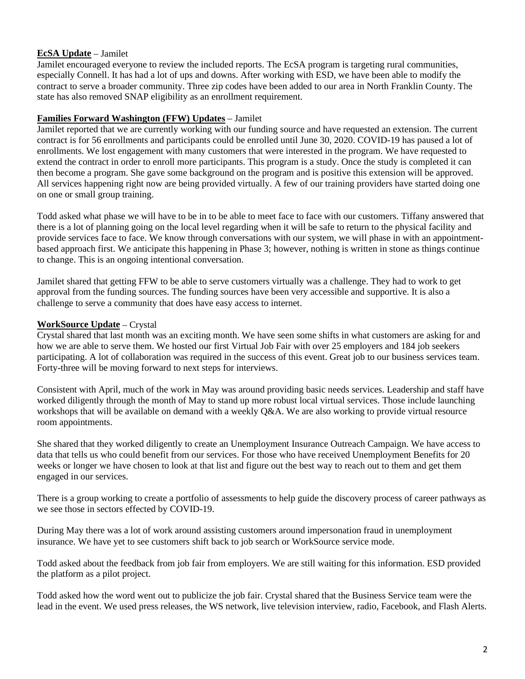## **EcSA Update** – Jamilet

Jamilet encouraged everyone to review the included reports. The EcSA program is targeting rural communities, especially Connell. It has had a lot of ups and downs. After working with ESD, we have been able to modify the contract to serve a broader community. Three zip codes have been added to our area in North Franklin County. The state has also removed SNAP eligibility as an enrollment requirement.

## **Families Forward Washington (FFW) Updates** – Jamilet

Jamilet reported that we are currently working with our funding source and have requested an extension. The current contract is for 56 enrollments and participants could be enrolled until June 30, 2020. COVID-19 has paused a lot of enrollments. We lost engagement with many customers that were interested in the program. We have requested to extend the contract in order to enroll more participants. This program is a study. Once the study is completed it can then become a program. She gave some background on the program and is positive this extension will be approved. All services happening right now are being provided virtually. A few of our training providers have started doing one on one or small group training.

Todd asked what phase we will have to be in to be able to meet face to face with our customers. Tiffany answered that there is a lot of planning going on the local level regarding when it will be safe to return to the physical facility and provide services face to face. We know through conversations with our system, we will phase in with an appointmentbased approach first. We anticipate this happening in Phase 3; however, nothing is written in stone as things continue to change. This is an ongoing intentional conversation.

Jamilet shared that getting FFW to be able to serve customers virtually was a challenge. They had to work to get approval from the funding sources. The funding sources have been very accessible and supportive. It is also a challenge to serve a community that does have easy access to internet.

## **WorkSource Update** – Crystal

Crystal shared that last month was an exciting month. We have seen some shifts in what customers are asking for and how we are able to serve them. We hosted our first Virtual Job Fair with over 25 employers and 184 job seekers participating. A lot of collaboration was required in the success of this event. Great job to our business services team. Forty-three will be moving forward to next steps for interviews.

Consistent with April, much of the work in May was around providing basic needs services. Leadership and staff have worked diligently through the month of May to stand up more robust local virtual services. Those include launching workshops that will be available on demand with a weekly Q&A. We are also working to provide virtual resource room appointments.

She shared that they worked diligently to create an Unemployment Insurance Outreach Campaign. We have access to data that tells us who could benefit from our services. For those who have received Unemployment Benefits for 20 weeks or longer we have chosen to look at that list and figure out the best way to reach out to them and get them engaged in our services.

There is a group working to create a portfolio of assessments to help guide the discovery process of career pathways as we see those in sectors effected by COVID-19.

During May there was a lot of work around assisting customers around impersonation fraud in unemployment insurance. We have yet to see customers shift back to job search or WorkSource service mode.

Todd asked about the feedback from job fair from employers. We are still waiting for this information. ESD provided the platform as a pilot project.

Todd asked how the word went out to publicize the job fair. Crystal shared that the Business Service team were the lead in the event. We used press releases, the WS network, live television interview, radio, Facebook, and Flash Alerts.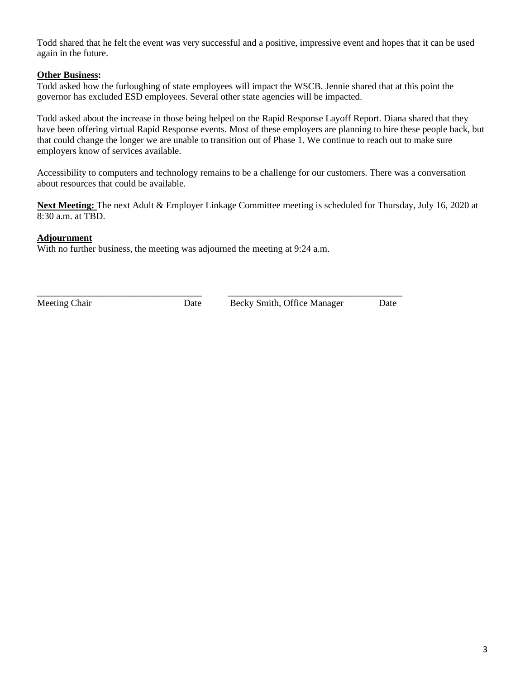Todd shared that he felt the event was very successful and a positive, impressive event and hopes that it can be used again in the future.

### **Other Business:**

Todd asked how the furloughing of state employees will impact the WSCB. Jennie shared that at this point the governor has excluded ESD employees. Several other state agencies will be impacted.

Todd asked about the increase in those being helped on the Rapid Response Layoff Report. Diana shared that they have been offering virtual Rapid Response events. Most of these employers are planning to hire these people back, but that could change the longer we are unable to transition out of Phase 1. We continue to reach out to make sure employers know of services available.

Accessibility to computers and technology remains to be a challenge for our customers. There was a conversation about resources that could be available.

**Next Meeting:** The next Adult & Employer Linkage Committee meeting is scheduled for Thursday, July 16, 2020 at 8:30 a.m. at TBD.

### **Adjournment**

With no further business, the meeting was adjourned the meeting at 9:24 a.m.

\_\_\_\_\_\_\_\_\_\_\_\_\_\_\_\_\_\_\_\_\_\_\_\_\_\_\_\_\_\_\_\_\_\_\_ \_\_\_\_\_\_\_\_\_\_\_\_\_\_\_\_\_\_\_\_\_\_\_\_\_\_\_\_\_\_\_\_\_\_\_\_\_

Meeting Chair Date Becky Smith, Office Manager Date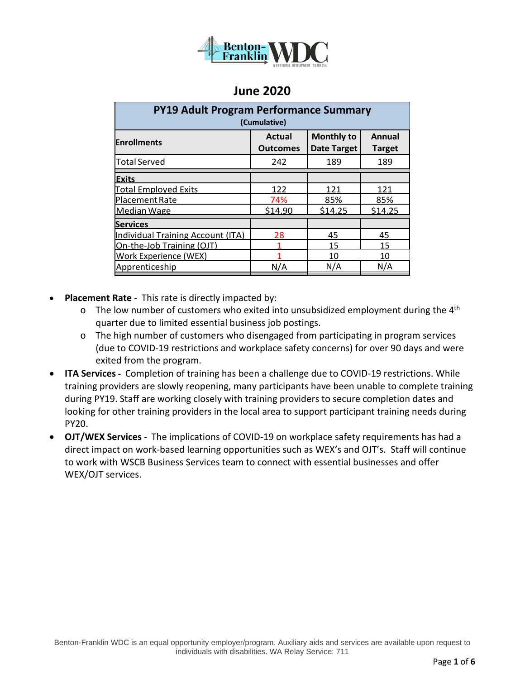

| <b>PY19 Adult Program Performance Summary</b><br>(Cumulative) |                                  |                                         |                                |  |  |  |
|---------------------------------------------------------------|----------------------------------|-----------------------------------------|--------------------------------|--|--|--|
| <b>Enrollments</b>                                            | <b>Actual</b><br><b>Outcomes</b> | <b>Monthly to</b><br><b>Date Target</b> | <b>Annual</b><br><b>Target</b> |  |  |  |
| <b>Total Served</b>                                           | 242                              | 189                                     | 189                            |  |  |  |
| <b>Exits</b>                                                  |                                  |                                         |                                |  |  |  |
| <b>Total Employed Exits</b>                                   | 122                              | 121                                     | 121                            |  |  |  |
| Placement Rate                                                | 74%                              | 85%                                     | 85%                            |  |  |  |
| Median Wage                                                   | \$14.90                          | \$14.25                                 | \$14.25                        |  |  |  |
| <b>Services</b>                                               |                                  |                                         |                                |  |  |  |
| <b>Individual Training Account (ITA)</b>                      | 28                               | 45                                      | 45                             |  |  |  |
| On-the-Job Training (OJT)                                     |                                  | 15                                      | 15                             |  |  |  |
| Work Experience (WEX)                                         |                                  | 10                                      | 10                             |  |  |  |
| Apprenticeship                                                | N/A                              | N/A                                     | N/A                            |  |  |  |

- **Placement Rate -** This rate is directly impacted by:
	- $\circ$  The low number of customers who exited into unsubsidized employment during the 4<sup>th</sup> quarter due to limited essential business job postings.
	- $\circ$  The high number of customers who disengaged from participating in program services (due to COVID-19 restrictions and workplace safety concerns) for over 90 days and were exited from the program.
- **ITA Services -** Completion of training has been a challenge due to COVID-19 restrictions. While training providers are slowly reopening, many participants have been unable to complete training during PY19. Staff are working closely with training providers to secure completion dates and looking for other training providers in the local area to support participant training needs during PY20.
- **OJT/WEX Services -** The implications of COVID-19 on workplace safety requirements has had a direct impact on work-based learning opportunities such as WEX's and OJT's. Staff will continue to work with WSCB Business Services team to connect with essential businesses and offer WEX/OJT services.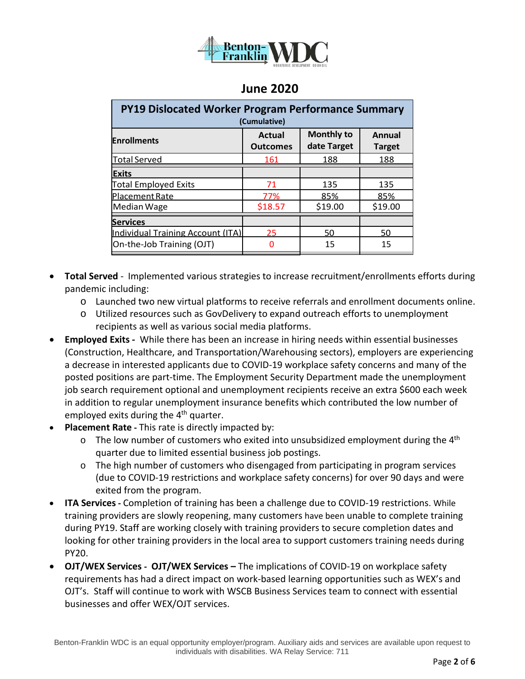

| PY19 Dislocated Worker Program Performance Summary<br>(Cumulative) |                                  |                                  |                                |  |  |  |
|--------------------------------------------------------------------|----------------------------------|----------------------------------|--------------------------------|--|--|--|
| <b>Enrollments</b>                                                 | <b>Actual</b><br><b>Outcomes</b> | <b>Monthly to</b><br>date Target | <b>Annual</b><br><b>Target</b> |  |  |  |
| <b>Total Served</b>                                                | 161                              | 188                              | 188                            |  |  |  |
| <b>Exits</b>                                                       |                                  |                                  |                                |  |  |  |
| <b>Total Employed Exits</b>                                        | 71                               | 135                              | 135                            |  |  |  |
| Placement Rate                                                     | 77%                              | 85%                              | 85%                            |  |  |  |
| Median Wage                                                        | \$18.57                          | \$19.00                          | \$19.00                        |  |  |  |
| <b>Services</b>                                                    |                                  |                                  |                                |  |  |  |
| Individual Training Account (ITA)                                  | 25                               | 50                               | 50                             |  |  |  |
| On-the-Job Training (OJT)                                          | n                                | 15                               | 15                             |  |  |  |

- **Total Served** Implemented various strategies to increase recruitment/enrollments efforts during pandemic including:
	- o Launched two new virtual platforms to receive referrals and enrollment documents online.
	- o Utilized resources such as GovDelivery to expand outreach efforts to unemployment recipients as well as various social media platforms.
- **Employed Exits -** While there has been an increase in hiring needs within essential businesses (Construction, Healthcare, and Transportation/Warehousing sectors), employers are experiencing a decrease in interested applicants due to COVID-19 workplace safety concerns and many of the posted positions are part-time. The Employment Security Department made the unemployment job search requirement optional and unemployment recipients receive an extra \$600 each week in addition to regular unemployment insurance benefits which contributed the low number of employed exits during the 4<sup>th</sup> quarter.
- **Placement Rate -** This rate is directly impacted by:
	- $\circ$  The low number of customers who exited into unsubsidized employment during the 4<sup>th</sup> quarter due to limited essential business job postings.
	- $\circ$  The high number of customers who disengaged from participating in program services (due to COVID-19 restrictions and workplace safety concerns) for over 90 days and were exited from the program.
- **ITA Services -** Completion of training has been a challenge due to COVID-19 restrictions. While training providers are slowly reopening, many customers have been unable to complete training during PY19. Staff are working closely with training providers to secure completion dates and looking for other training providers in the local area to support customers training needs during PY20.
- **OJT/WEX Services - OJT/WEX Services –** The implications of COVID-19 on workplace safety requirements has had a direct impact on work-based learning opportunities such as WEX's and OJT's. Staff will continue to work with WSCB Business Services team to connect with essential businesses and offer WEX/OJT services.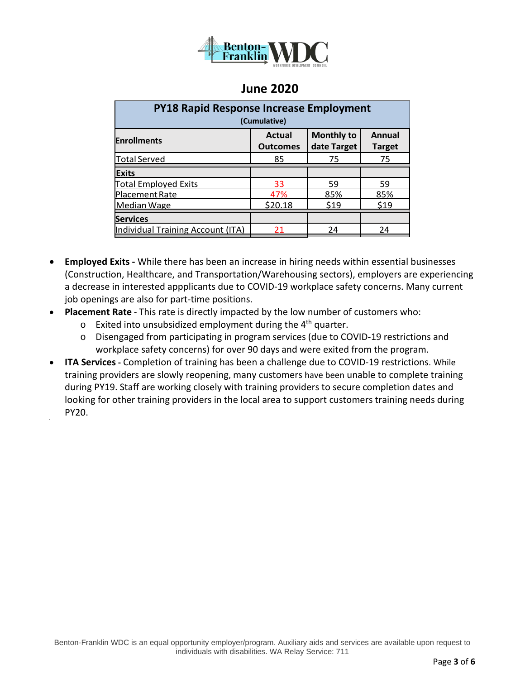

| <b>PY18 Rapid Response Increase Employment</b><br>(Cumulative) |                                                                                                        |      |      |  |  |  |
|----------------------------------------------------------------|--------------------------------------------------------------------------------------------------------|------|------|--|--|--|
| <b>Enrollments</b>                                             | <b>Monthly to</b><br><b>Actual</b><br><b>Annual</b><br>date Target<br><b>Outcomes</b><br><b>Target</b> |      |      |  |  |  |
| <b>Total Served</b>                                            | 85                                                                                                     | 75   | 75   |  |  |  |
| <b>Exits</b>                                                   |                                                                                                        |      |      |  |  |  |
| <b>Total Employed Exits</b>                                    | 33                                                                                                     | 59   | 59   |  |  |  |
| Placement Rate                                                 | 47%                                                                                                    | 85%  | 85%  |  |  |  |
| Median Wage                                                    | \$20.18                                                                                                | \$19 | \$19 |  |  |  |
| <b>Services</b>                                                |                                                                                                        |      |      |  |  |  |
| <b>Individual Training Account (ITA)</b>                       | 21                                                                                                     | 24   | 24   |  |  |  |

- **Employed Exits -** While there has been an increase in hiring needs within essential businesses (Construction, Healthcare, and Transportation/Warehousing sectors), employers are experiencing a decrease in interested appplicants due to COVID-19 workplace safety concerns. Many current job openings are also for part-time positions.
- **Placement Rate -** This rate is directly impacted by the low number of customers who:
	- $\circ$  Exited into unsubsidized employment during the 4<sup>th</sup> quarter.

•

- o Disengaged from participating in program services (due to COVID-19 restrictions and workplace safety concerns) for over 90 days and were exited from the program.
- **ITA Services -** Completion of training has been a challenge due to COVID-19 restrictions. While training providers are slowly reopening, many customers have been unable to complete training during PY19. Staff are working closely with training providers to secure completion dates and looking for other training providers in the local area to support customers training needs during PY20.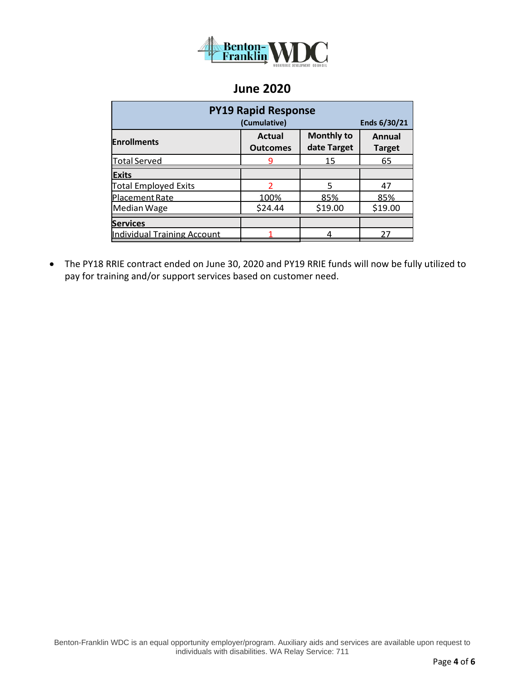

| <b>PY19 Rapid Response</b>         |                                  |                                  |                                |  |  |  |
|------------------------------------|----------------------------------|----------------------------------|--------------------------------|--|--|--|
|                                    | (Cumulative)<br>Ends 6/30/21     |                                  |                                |  |  |  |
| <b>Enrollments</b>                 | <b>Actual</b><br><b>Outcomes</b> | <b>Monthly to</b><br>date Target | <b>Annual</b><br><b>Target</b> |  |  |  |
| <b>Total Served</b>                |                                  | 15                               | 65                             |  |  |  |
| <b>Exits</b>                       |                                  |                                  |                                |  |  |  |
| <b>Total Employed Exits</b>        | $\mathcal{P}$                    | 5                                | 47                             |  |  |  |
| Placement Rate                     | 100%                             | 85%                              | 85%                            |  |  |  |
| Median Wage                        | \$24.44                          | \$19.00                          | \$19.00                        |  |  |  |
| <b>Services</b>                    |                                  |                                  |                                |  |  |  |
| <b>Individual Training Account</b> |                                  |                                  | 27                             |  |  |  |

• The PY18 RRIE contract ended on June 30, 2020 and PY19 RRIE funds will now be fully utilized to pay for training and/or support services based on customer need.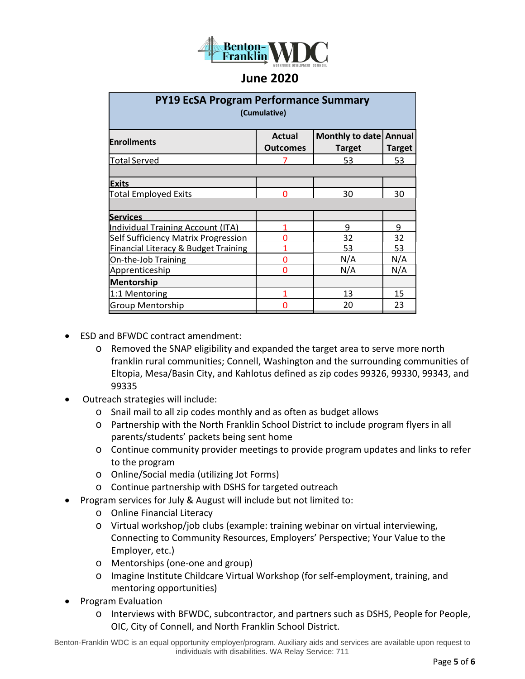

| <b>PY19 EcSA Program Performance Summary</b><br>(Cumulative) |                           |                                         |                         |  |  |  |
|--------------------------------------------------------------|---------------------------|-----------------------------------------|-------------------------|--|--|--|
| <b>Enrollments</b>                                           | Actual<br><b>Outcomes</b> | <b>Monthly to date</b><br><b>Target</b> | Annual<br><b>Target</b> |  |  |  |
| <b>Total Served</b>                                          |                           | 53                                      | 53                      |  |  |  |
| <b>Exits</b>                                                 |                           |                                         |                         |  |  |  |
| <b>Total Employed Exits</b>                                  | ∩                         | 30                                      | 30                      |  |  |  |
| <b>Services</b>                                              |                           |                                         |                         |  |  |  |
| Individual Training Account (ITA)                            |                           | 9                                       | 9                       |  |  |  |
| <b>Self Sufficiency Matrix Progression</b>                   | ∩                         | 32                                      | 32                      |  |  |  |
| Financial Literacy & Budget Training                         |                           | 53                                      | 53                      |  |  |  |
| On-the-Job Training                                          | 0                         | N/A                                     | N/A                     |  |  |  |
| Apprenticeship                                               | 0                         | N/A                                     | N/A                     |  |  |  |
| <b>Mentorship</b>                                            |                           |                                         |                         |  |  |  |
| 1:1 Mentoring                                                |                           | 13                                      | 15                      |  |  |  |
| <b>Group Mentorship</b>                                      | n                         | 20                                      | 23                      |  |  |  |

- ESD and BFWDC contract amendment:
	- o Removed the SNAP eligibility and expanded the target area to serve more north franklin rural communities; Connell, Washington and the surrounding communities of Eltopia, Mesa/Basin City, and Kahlotus defined as zip codes 99326, 99330, 99343, and 99335
- Outreach strategies will include:
	- o Snail mail to all zip codes monthly and as often as budget allows
	- o Partnership with the North Franklin School District to include program flyers in all parents/students' packets being sent home
	- $\circ$  Continue community provider meetings to provide program updates and links to refer to the program
	- o Online/Social media (utilizing Jot Forms)
	- o Continue partnership with DSHS for targeted outreach
- Program services for July & August will include but not limited to:
	- o Online Financial Literacy
	- o Virtual workshop/job clubs (example: training webinar on virtual interviewing, Connecting to Community Resources, Employers' Perspective; Your Value to the Employer, etc.)
	- o Mentorships (one-one and group)
	- o Imagine Institute Childcare Virtual Workshop (for self-employment, training, and mentoring opportunities)
- Program Evaluation
	- o Interviews with BFWDC, subcontractor, and partners such as DSHS, People for People, OIC, City of Connell, and North Franklin School District.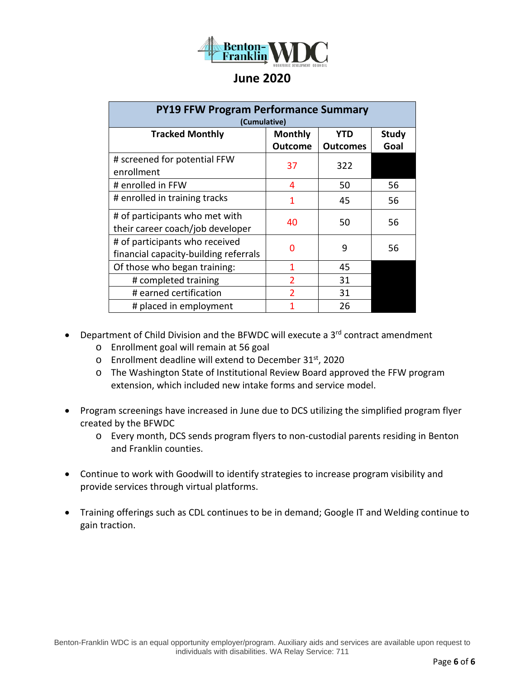

| <b>PY19 FFW Program Performance Summary</b><br>(Cumulative)             |                                  |                               |                      |  |  |  |
|-------------------------------------------------------------------------|----------------------------------|-------------------------------|----------------------|--|--|--|
| <b>Tracked Monthly</b>                                                  | <b>Monthly</b><br><b>Outcome</b> | <b>YTD</b><br><b>Outcomes</b> | <b>Study</b><br>Goal |  |  |  |
| # screened for potential FFW<br>enrollment                              | 37                               | 322                           |                      |  |  |  |
| # enrolled in FFW                                                       | 4                                | 50                            | 56                   |  |  |  |
| # enrolled in training tracks                                           | 1                                | 45                            | 56                   |  |  |  |
| # of participants who met with<br>their career coach/job developer      | 40                               | 50                            | 56                   |  |  |  |
| # of participants who received<br>financial capacity-building referrals | 0                                | 9                             | 56                   |  |  |  |
| Of those who began training:                                            | 1                                | 45                            |                      |  |  |  |
| # completed training                                                    | $\overline{2}$                   | 31                            |                      |  |  |  |
| # earned certification                                                  | $\overline{\phantom{a}}$         | 31                            |                      |  |  |  |
| # placed in employment                                                  |                                  | 26                            |                      |  |  |  |

- Department of Child Division and the BFWDC will execute a 3<sup>rd</sup> contract amendment
	- o Enrollment goal will remain at 56 goal
	- o Enrollment deadline will extend to December 31st, 2020
	- o The Washington State of Institutional Review Board approved the FFW program extension, which included new intake forms and service model.
- Program screenings have increased in June due to DCS utilizing the simplified program flyer created by the BFWDC
	- o Every month, DCS sends program flyers to non-custodial parents residing in Benton and Franklin counties.
- Continue to work with Goodwill to identify strategies to increase program visibility and provide services through virtual platforms.
- Training offerings such as CDL continues to be in demand; Google IT and Welding continue to gain traction.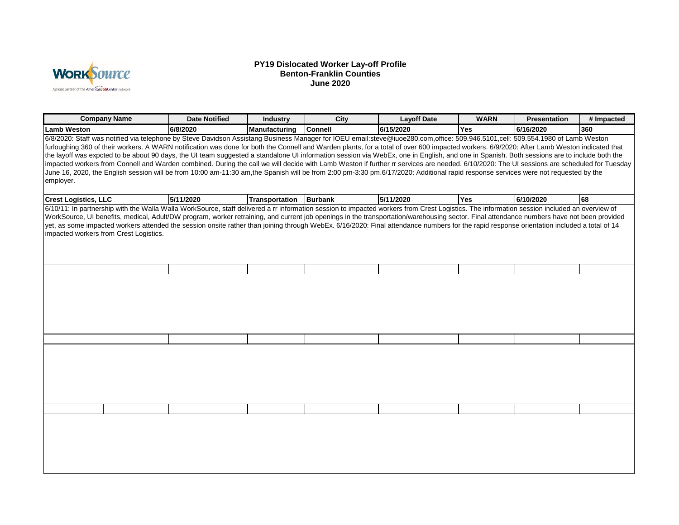

#### **PY19 Dislocated Worker Lay-off Profile Benton-Franklin Counties June 2020**

| <b>Company Name</b>                                                                                                                                                                                                                   | <b>Date Notified</b> | <b>Industry</b> | <b>City</b>    | <b>Layoff Date</b>                                                                                                                                                                                                                                                                                                                                                                                                                                                                                                                                                                                                                                                                                                                                                            | <b>WARN</b> | <b>Presentation</b> | # Impacted |
|---------------------------------------------------------------------------------------------------------------------------------------------------------------------------------------------------------------------------------------|----------------------|-----------------|----------------|-------------------------------------------------------------------------------------------------------------------------------------------------------------------------------------------------------------------------------------------------------------------------------------------------------------------------------------------------------------------------------------------------------------------------------------------------------------------------------------------------------------------------------------------------------------------------------------------------------------------------------------------------------------------------------------------------------------------------------------------------------------------------------|-------------|---------------------|------------|
| <b>Lamb Weston</b>                                                                                                                                                                                                                    | 6/8/2020             | Manufacturing   | <b>Connell</b> | 6/15/2020                                                                                                                                                                                                                                                                                                                                                                                                                                                                                                                                                                                                                                                                                                                                                                     | <b>Yes</b>  | 6/16/2020           | 360        |
| 6/8/2020: Staff was notified via telephone by Steve Davidson Assistang Business Manager for IOEU email:steve@iuoe280.com,office: 509.946.5101,cell: 509.554.1980 of Lamb Weston<br>employer.                                          |                      |                 |                | furloughing 360 of their workers. A WARN notification was done for both the Connell and Warden plants, for a total of over 600 impacted workers. 6/9/2020: After Lamb Weston indicated that<br>the layoff was expcted to be about 90 days, the UI team suggested a standalone UI information session via WebEx, one in English, and one in Spanish. Both sessions are to include both the<br>impacted workers from Connell and Warden combined. During the call we will decide with Lamb Weston if further rr services are needed. 6/10/2020: The UI sessions are scheduled for Tuesday<br>June 16, 2020, the English session will be from 10:00 am-11:30 am,the Spanish will be from 2:00 pm-3:30 pm.6/17/2020: Additional rapid response services were not requested by the |             |                     |            |
| <b>Crest Logistics, LLC</b>                                                                                                                                                                                                           | 5/11/2020            | Transportation  | <b>Burbank</b> | 5/11/2020                                                                                                                                                                                                                                                                                                                                                                                                                                                                                                                                                                                                                                                                                                                                                                     | <b>Yes</b>  | 6/10/2020           | 68         |
| 6/10/11: In partnership with the Walla Walla WorkSource, staff delivered a rr information session to impacted workers from Crest Logistics. The information session included an overview of<br>impacted workers from Crest Logistics. |                      |                 |                | WorkSource, UI benefits, medical, Adult/DW program, worker retraining, and current job openings in the transportation/warehousing sector. Final attendance numbers have not been provided<br>yet, as some impacted workers attended the session onsite rather than joining through WebEx. 6/16/2020: Final attendance numbers for the rapid response orientation included a total of 14                                                                                                                                                                                                                                                                                                                                                                                       |             |                     |            |
|                                                                                                                                                                                                                                       |                      |                 |                |                                                                                                                                                                                                                                                                                                                                                                                                                                                                                                                                                                                                                                                                                                                                                                               |             |                     |            |
|                                                                                                                                                                                                                                       |                      |                 |                |                                                                                                                                                                                                                                                                                                                                                                                                                                                                                                                                                                                                                                                                                                                                                                               |             |                     |            |
|                                                                                                                                                                                                                                       |                      |                 |                |                                                                                                                                                                                                                                                                                                                                                                                                                                                                                                                                                                                                                                                                                                                                                                               |             |                     |            |
|                                                                                                                                                                                                                                       |                      |                 |                |                                                                                                                                                                                                                                                                                                                                                                                                                                                                                                                                                                                                                                                                                                                                                                               |             |                     |            |
|                                                                                                                                                                                                                                       |                      |                 |                |                                                                                                                                                                                                                                                                                                                                                                                                                                                                                                                                                                                                                                                                                                                                                                               |             |                     |            |
|                                                                                                                                                                                                                                       |                      |                 |                |                                                                                                                                                                                                                                                                                                                                                                                                                                                                                                                                                                                                                                                                                                                                                                               |             |                     |            |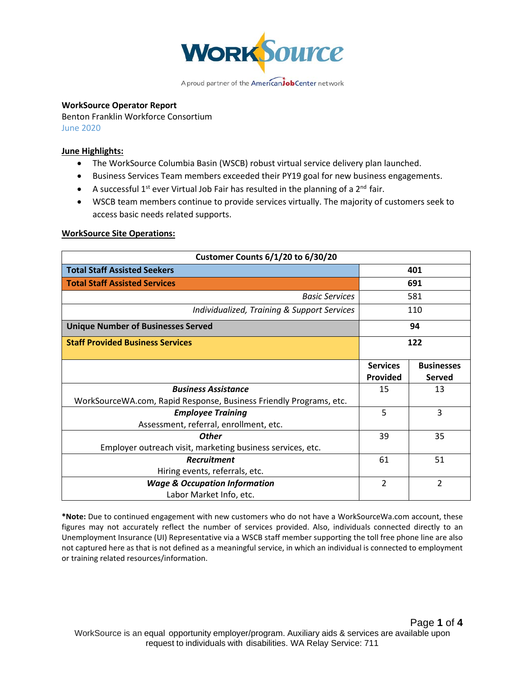

#### **WorkSource Operator Report**

Benton Franklin Workforce Consortium June 2020

#### **June Highlights:**

- The WorkSource Columbia Basin (WSCB) robust virtual service delivery plan launched.
- Business Services Team members exceeded their PY19 goal for new business engagements.
- A successful  $1^{st}$  ever Virtual Job Fair has resulted in the planning of a  $2^{nd}$  fair.
- WSCB team members continue to provide services virtually. The majority of customers seek to access basic needs related supports.

#### **WorkSource Site Operations:**

| <b>Customer Counts 6/1/20 to 6/30/20</b>                           |                                    |                             |  |  |
|--------------------------------------------------------------------|------------------------------------|-----------------------------|--|--|
| <b>Total Staff Assisted Seekers</b>                                | 401                                |                             |  |  |
| <b>Total Staff Assisted Services</b>                               |                                    | 691                         |  |  |
| <b>Basic Services</b>                                              |                                    | 581                         |  |  |
| Individualized, Training & Support Services                        |                                    | 110                         |  |  |
| <b>Unique Number of Businesses Served</b>                          |                                    | 94                          |  |  |
| <b>Staff Provided Business Services</b>                            |                                    | 122                         |  |  |
|                                                                    | <b>Services</b><br><b>Provided</b> | <b>Businesses</b><br>Served |  |  |
| <b>Business Assistance</b>                                         | 15                                 | 13                          |  |  |
| WorkSourceWA.com, Rapid Response, Business Friendly Programs, etc. |                                    |                             |  |  |
| <b>Employee Training</b>                                           | 5                                  | 3                           |  |  |
| Assessment, referral, enrollment, etc.                             |                                    |                             |  |  |
| <b>Other</b>                                                       | 39                                 | 35                          |  |  |
| Employer outreach visit, marketing business services, etc.         |                                    |                             |  |  |
| <b>Recruitment</b>                                                 | 61                                 | 51                          |  |  |
| Hiring events, referrals, etc.                                     |                                    |                             |  |  |
| <b>Wage &amp; Occupation Information</b>                           | $\overline{2}$                     | 2                           |  |  |
| Labor Market Info, etc.                                            |                                    |                             |  |  |

**\*Note:** Due to continued engagement with new customers who do not have a WorkSourceWa.com account, these figures may not accurately reflect the number of services provided. Also, individuals connected directly to an Unemployment Insurance (UI) Representative via a WSCB staff member supporting the toll free phone line are also not captured here as that is not defined as a meaningful service, in which an individual is connected to employment or training related resources/information.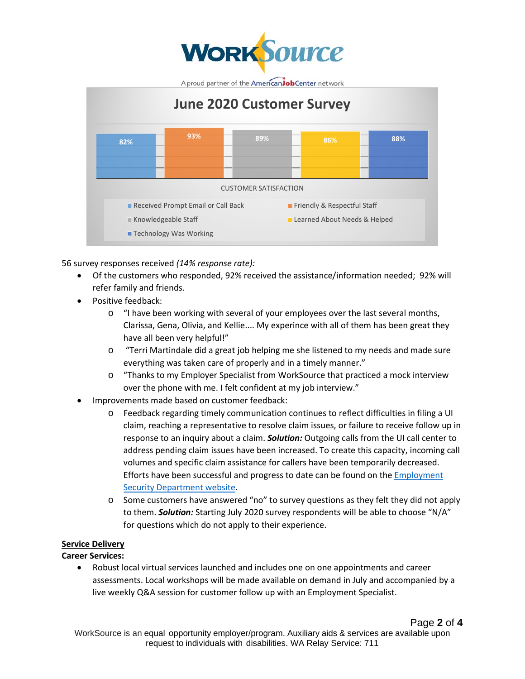



56 survey responses received *(14% response rate):*

- Of the customers who responded, 92% received the assistance/information needed; 92% will refer family and friends.
- Positive feedback:
	- o "I have been working with several of your employees over the last several months, Clarissa, Gena, Olivia, and Kellie.... My experince with all of them has been great they have all been very helpful!"
	- o "Terri Martindale did a great job helping me she listened to my needs and made sure everything was taken care of properly and in a timely manner."
	- o "Thanks to my Employer Specialist from WorkSource that practiced a mock interview over the phone with me. I felt confident at my job interview."
- Improvements made based on customer feedback:
	- o Feedback regarding timely communication continues to reflect difficulties in filing a UI claim, reaching a representative to resolve claim issues, or failure to receive follow up in response to an inquiry about a claim. *Solution:* Outgoing calls from the UI call center to address pending claim issues have been increased. To create this capacity, incoming call volumes and specific claim assistance for callers have been temporarily decreased. Efforts have been successful and progress to date can be found on the [Employment](https://esd.wa.gov/unemployment/adjudication)  [Security Department website.](https://esd.wa.gov/unemployment/adjudication)
	- o Some customers have answered "no" to survey questions as they felt they did not apply to them. *Solution:* Starting July 2020 survey respondents will be able to choose "N/A" for questions which do not apply to their experience.

### **Service Delivery**

### **Career Services:**

• Robust local virtual services launched and includes one on one appointments and career assessments. Local workshops will be made available on demand in July and accompanied by a live weekly Q&A session for customer follow up with an Employment Specialist.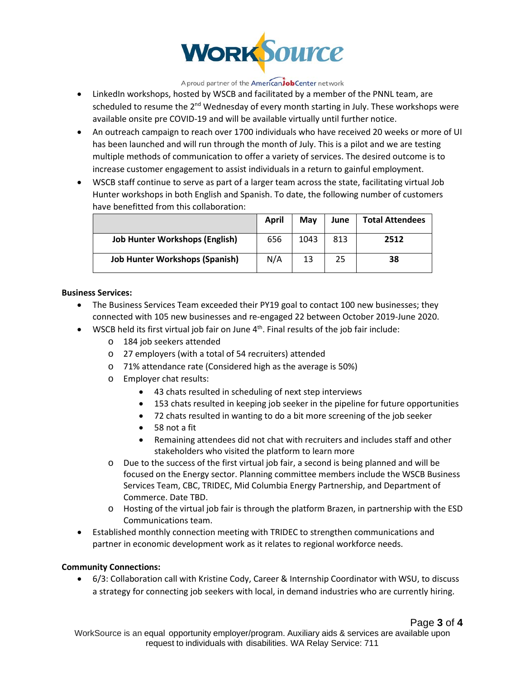

- LinkedIn workshops, hosted by WSCB and facilitated by a member of the PNNL team, are scheduled to resume the 2<sup>nd</sup> Wednesday of every month starting in July. These workshops were available onsite pre COVID-19 and will be available virtually until further notice.
- An outreach campaign to reach over 1700 individuals who have received 20 weeks or more of UI has been launched and will run through the month of July. This is a pilot and we are testing multiple methods of communication to offer a variety of services. The desired outcome is to increase customer engagement to assist individuals in a return to gainful employment.
- WSCB staff continue to serve as part of a larger team across the state, facilitating virtual Job Hunter workshops in both English and Spanish. To date, the following number of customers have benefitted from this collaboration:

|                                       | April | Mav  | June | <b>Total Attendees</b> |
|---------------------------------------|-------|------|------|------------------------|
| <b>Job Hunter Workshops (English)</b> | 656   | 1043 | 813  | 2512                   |
| <b>Job Hunter Workshops (Spanish)</b> | N/A   | 13   | 25   | 38                     |

#### **Business Services:**

- The Business Services Team exceeded their PY19 goal to contact 100 new businesses; they connected with 105 new businesses and re-engaged 22 between October 2019-June 2020.
- WSCB held its first virtual job fair on June  $4<sup>th</sup>$ . Final results of the job fair include:
	- o 184 job seekers attended
	- o 27 employers (with a total of 54 recruiters) attended
	- o 71% attendance rate (Considered high as the average is 50%)
	- o Employer chat results:
		- 43 chats resulted in scheduling of next step interviews
		- 153 chats resulted in keeping job seeker in the pipeline for future opportunities
		- 72 chats resulted in wanting to do a bit more screening of the job seeker
		- 58 not a fit
		- Remaining attendees did not chat with recruiters and includes staff and other stakeholders who visited the platform to learn more
	- o Due to the success of the first virtual job fair, a second is being planned and will be focused on the Energy sector. Planning committee members include the WSCB Business Services Team, CBC, TRIDEC, Mid Columbia Energy Partnership, and Department of Commerce. Date TBD.
	- o Hosting of the virtual job fair is through the platform Brazen, in partnership with the ESD Communications team.
- Established monthly connection meeting with TRIDEC to strengthen communications and partner in economic development work as it relates to regional workforce needs.

### **Community Connections:**

• 6/3: Collaboration call with Kristine Cody, Career & Internship Coordinator with WSU, to discuss a strategy for connecting job seekers with local, in demand industries who are currently hiring.